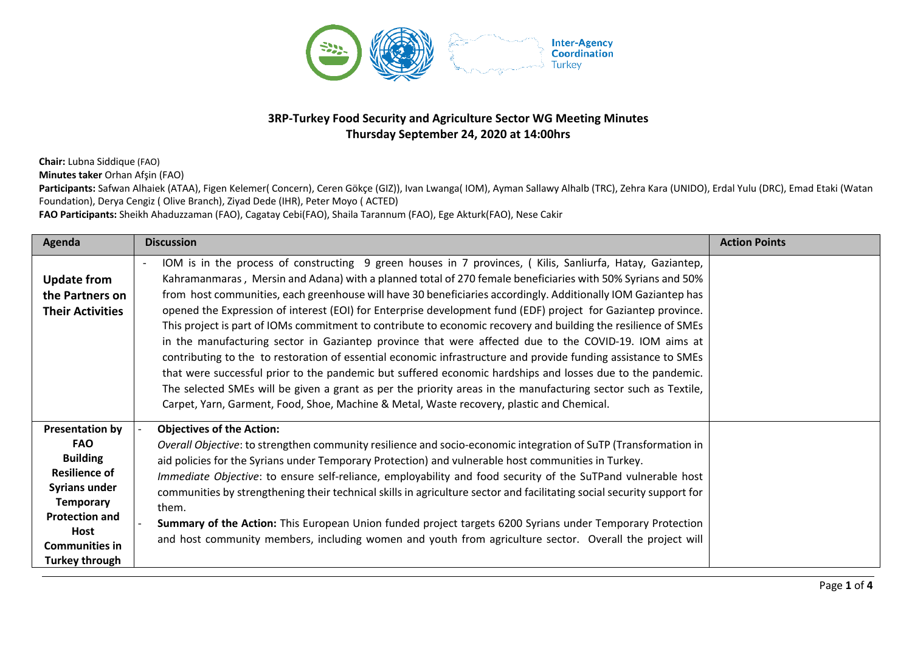

## **3RP-Turkey Food Security and Agriculture Sector WG Meeting Minutes Thursday September 24, 2020 at 14:00hrs**

**Chair:** Lubna Siddique (FAO)

**Minutes taker** Orhan Afşin (FAO)

Participants: Safwan Alhaiek (ATAA), Figen Kelemer( Concern), Ceren Gökçe (GIZ)), Ivan Lwanga( IOM), Ayman Sallawy Alhalb (TRC), Zehra Kara (UNIDO), Erdal Yulu (DRC), Emad Etaki (Watan Foundation), Derya Cengiz ( Olive Branch), Ziyad Dede (IHR), Peter Moyo ( ACTED)

**FAO Participants:** Sheikh Ahaduzzaman (FAO), Cagatay Cebi(FAO), Shaila Tarannum (FAO), Ege Akturk(FAO), Nese Cakir

| Agenda                                                                                                                                                                                                                | <b>Discussion</b>                                                                                                                                                                                                                                                                                                                                                                                                                                                                                                                                                                                                                                                                                                                                                                                                                                                                                                                                                                                                                                                                                                                   | <b>Action Points</b> |
|-----------------------------------------------------------------------------------------------------------------------------------------------------------------------------------------------------------------------|-------------------------------------------------------------------------------------------------------------------------------------------------------------------------------------------------------------------------------------------------------------------------------------------------------------------------------------------------------------------------------------------------------------------------------------------------------------------------------------------------------------------------------------------------------------------------------------------------------------------------------------------------------------------------------------------------------------------------------------------------------------------------------------------------------------------------------------------------------------------------------------------------------------------------------------------------------------------------------------------------------------------------------------------------------------------------------------------------------------------------------------|----------------------|
| <b>Update from</b><br>the Partners on<br><b>Their Activities</b>                                                                                                                                                      | IOM is in the process of constructing 9 green houses in 7 provinces, (Kilis, Sanliurfa, Hatay, Gaziantep,<br>Kahramanmaras, Mersin and Adana) with a planned total of 270 female beneficiaries with 50% Syrians and 50%<br>from host communities, each greenhouse will have 30 beneficiaries accordingly. Additionally IOM Gaziantep has<br>opened the Expression of interest (EOI) for Enterprise development fund (EDF) project for Gaziantep province.<br>This project is part of IOMs commitment to contribute to economic recovery and building the resilience of SMEs<br>in the manufacturing sector in Gaziantep province that were affected due to the COVID-19. IOM aims at<br>contributing to the to restoration of essential economic infrastructure and provide funding assistance to SMEs<br>that were successful prior to the pandemic but suffered economic hardships and losses due to the pandemic.<br>The selected SMEs will be given a grant as per the priority areas in the manufacturing sector such as Textile,<br>Carpet, Yarn, Garment, Food, Shoe, Machine & Metal, Waste recovery, plastic and Chemical. |                      |
| <b>Presentation by</b><br><b>FAO</b><br><b>Building</b><br><b>Resilience of</b><br><b>Syrians under</b><br><b>Temporary</b><br><b>Protection and</b><br><b>Host</b><br><b>Communities in</b><br><b>Turkey through</b> | <b>Objectives of the Action:</b><br>Overall Objective: to strengthen community resilience and socio-economic integration of SuTP (Transformation in<br>aid policies for the Syrians under Temporary Protection) and vulnerable host communities in Turkey.<br>Immediate Objective: to ensure self-reliance, employability and food security of the SuTPand vulnerable host<br>communities by strengthening their technical skills in agriculture sector and facilitating social security support for<br>them.<br>Summary of the Action: This European Union funded project targets 6200 Syrians under Temporary Protection<br>and host community members, including women and youth from agriculture sector. Overall the project will                                                                                                                                                                                                                                                                                                                                                                                               |                      |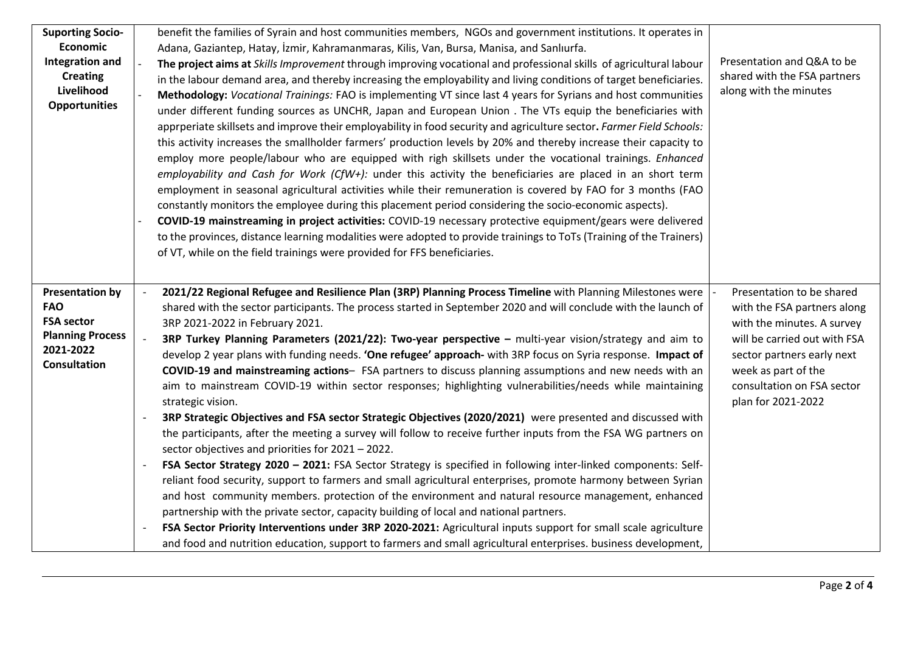| <b>Suporting Socio-</b><br><b>Economic</b><br><b>Integration and</b><br><b>Creating</b><br>Livelihood<br><b>Opportunities</b> | benefit the families of Syrain and host communities members, NGOs and government institutions. It operates in<br>Adana, Gaziantep, Hatay, İzmir, Kahramanmaras, Kilis, Van, Bursa, Manisa, and Sanlıurfa.<br>The project aims at Skills Improvement through improving vocational and professional skills of agricultural labour<br>in the labour demand area, and thereby increasing the employability and living conditions of target beneficiaries.<br>Methodology: Vocational Trainings: FAO is implementing VT since last 4 years for Syrians and host communities<br>under different funding sources as UNCHR, Japan and European Union . The VTs equip the beneficiaries with<br>apprperiate skillsets and improve their employability in food security and agriculture sector. Farmer Field Schools:<br>this activity increases the smallholder farmers' production levels by 20% and thereby increase their capacity to<br>employ more people/labour who are equipped with righ skillsets under the vocational trainings. Enhanced<br>employability and Cash for Work (CfW+): under this activity the beneficiaries are placed in an short term<br>employment in seasonal agricultural activities while their remuneration is covered by FAO for 3 months (FAO<br>constantly monitors the employee during this placement period considering the socio-economic aspects).<br>COVID-19 mainstreaming in project activities: COVID-19 necessary protective equipment/gears were delivered<br>to the provinces, distance learning modalities were adopted to provide trainings to ToTs (Training of the Trainers)<br>of VT, while on the field trainings were provided for FFS beneficiaries. | Presentation and Q&A to be<br>shared with the FSA partners<br>along with the minutes                                                                                                                                            |
|-------------------------------------------------------------------------------------------------------------------------------|---------------------------------------------------------------------------------------------------------------------------------------------------------------------------------------------------------------------------------------------------------------------------------------------------------------------------------------------------------------------------------------------------------------------------------------------------------------------------------------------------------------------------------------------------------------------------------------------------------------------------------------------------------------------------------------------------------------------------------------------------------------------------------------------------------------------------------------------------------------------------------------------------------------------------------------------------------------------------------------------------------------------------------------------------------------------------------------------------------------------------------------------------------------------------------------------------------------------------------------------------------------------------------------------------------------------------------------------------------------------------------------------------------------------------------------------------------------------------------------------------------------------------------------------------------------------------------------------------------------------------------------------------------------------------------------------------|---------------------------------------------------------------------------------------------------------------------------------------------------------------------------------------------------------------------------------|
| <b>Presentation by</b><br><b>FAO</b><br><b>FSA sector</b><br><b>Planning Process</b><br>2021-2022<br><b>Consultation</b>      | 2021/22 Regional Refugee and Resilience Plan (3RP) Planning Process Timeline with Planning Milestones were<br>shared with the sector participants. The process started in September 2020 and will conclude with the launch of<br>3RP 2021-2022 in February 2021.<br>3RP Turkey Planning Parameters (2021/22): Two-year perspective - multi-year vision/strategy and aim to<br>develop 2 year plans with funding needs. 'One refugee' approach- with 3RP focus on Syria response. Impact of<br>COVID-19 and mainstreaming actions- FSA partners to discuss planning assumptions and new needs with an<br>aim to mainstream COVID-19 within sector responses; highlighting vulnerabilities/needs while maintaining<br>strategic vision.<br>3RP Strategic Objectives and FSA sector Strategic Objectives (2020/2021) were presented and discussed with<br>the participants, after the meeting a survey will follow to receive further inputs from the FSA WG partners on<br>sector objectives and priorities for 2021 - 2022.<br>FSA Sector Strategy 2020 - 2021: FSA Sector Strategy is specified in following inter-linked components: Self-<br>reliant food security, support to farmers and small agricultural enterprises, promote harmony between Syrian<br>and host community members. protection of the environment and natural resource management, enhanced<br>partnership with the private sector, capacity building of local and national partners.<br>FSA Sector Priority Interventions under 3RP 2020-2021: Agricultural inputs support for small scale agriculture<br>and food and nutrition education, support to farmers and small agricultural enterprises. business development,  | Presentation to be shared<br>with the FSA partners along<br>with the minutes. A survey<br>will be carried out with FSA<br>sector partners early next<br>week as part of the<br>consultation on FSA sector<br>plan for 2021-2022 |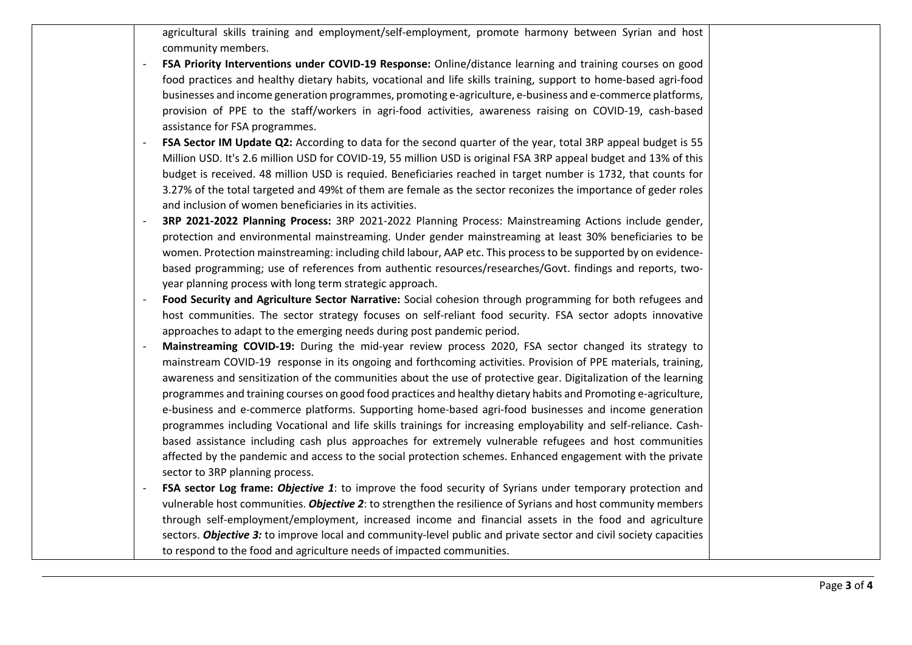agricultural skills training and employment/self-employment, promote harmony between Syrian and host community members.

- **FSA Priority Interventions under COVID-19 Response:** Online/distance learning and training courses on good food practices and healthy dietary habits, vocational and life skills training, support to home-based agri-food businesses and income generation programmes, promoting e-agriculture, e-business and e-commerce platforms, provision of PPE to the staff/workers in agri-food activities, awareness raising on COVID-19, cash-based assistance for FSA programmes.
- **FSA Sector IM Update Q2:** According to data for the second quarter of the year, total 3RP appeal budget is 55 Million USD. It's 2.6 million USD for COVID-19, 55 million USD is original FSA 3RP appeal budget and 13% of this budget is received. 48 million USD is requied. Beneficiaries reached in target number is 1732, that counts for 3.27% of the total targeted and 49%t of them are female as the sector reconizes the importance of geder roles and inclusion of women beneficiaries in its activities.
- **3RP 2021-2022 Planning Process:** 3RP 2021-2022 Planning Process: Mainstreaming Actions include gender, protection and environmental mainstreaming. Under gender mainstreaming at least 30% beneficiaries to be women. Protection mainstreaming: including child labour, AAP etc. This process to be supported by on evidencebased programming; use of references from authentic resources/researches/Govt. findings and reports, twoyear planning process with long term strategic approach.
- **Food Security and Agriculture Sector Narrative:** Social cohesion through programming for both refugees and host communities. The sector strategy focuses on self-reliant food security. FSA sector adopts innovative approaches to adapt to the emerging needs during post pandemic period.
- **Mainstreaming COVID-19:** During the mid-year review process 2020, FSA sector changed its strategy to mainstream COVID-19 response in its ongoing and forthcoming activities. Provision of PPE materials, training, awareness and sensitization of the communities about the use of protective gear. Digitalization of the learning programmes and training courses on good food practices and healthy dietary habits and Promoting e-agriculture, e-business and e-commerce platforms. Supporting home-based agri-food businesses and income generation programmes including Vocational and life skills trainings for increasing employability and self-reliance. Cashbased assistance including cash plus approaches for extremely vulnerable refugees and host communities affected by the pandemic and access to the social protection schemes. Enhanced engagement with the private sector to 3RP planning process.
- **FSA sector Log frame:** *Objective 1*: to improve the food security of Syrians under temporary protection and vulnerable host communities. *Objective 2*: to strengthen the resilience of Syrians and host community members through self-employment/employment, increased income and financial assets in the food and agriculture sectors. *Objective 3:* to improve local and community-level public and private sector and civil society capacities to respond to the food and agriculture needs of impacted communities.